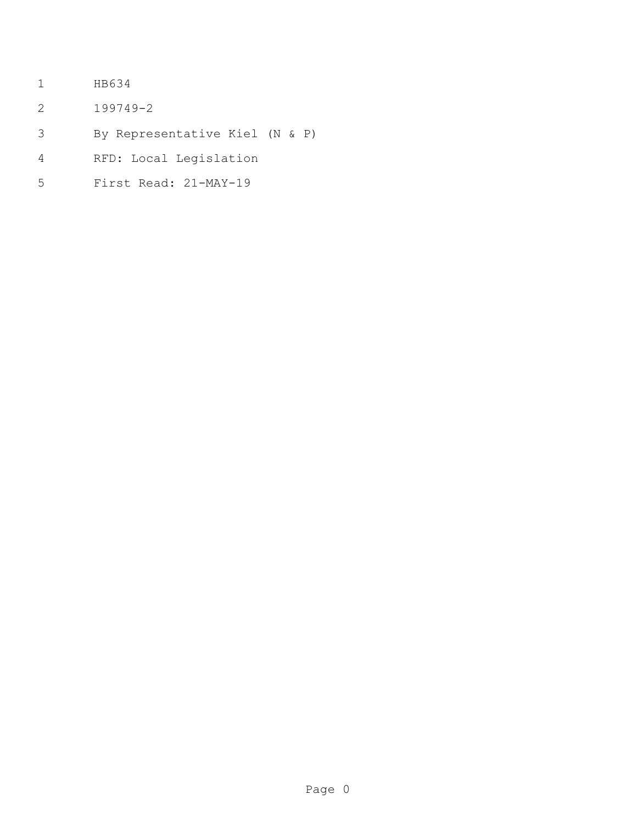- HB634
- 199749-2
- By Representative Kiel (N & P)
- RFD: Local Legislation
- First Read: 21-MAY-19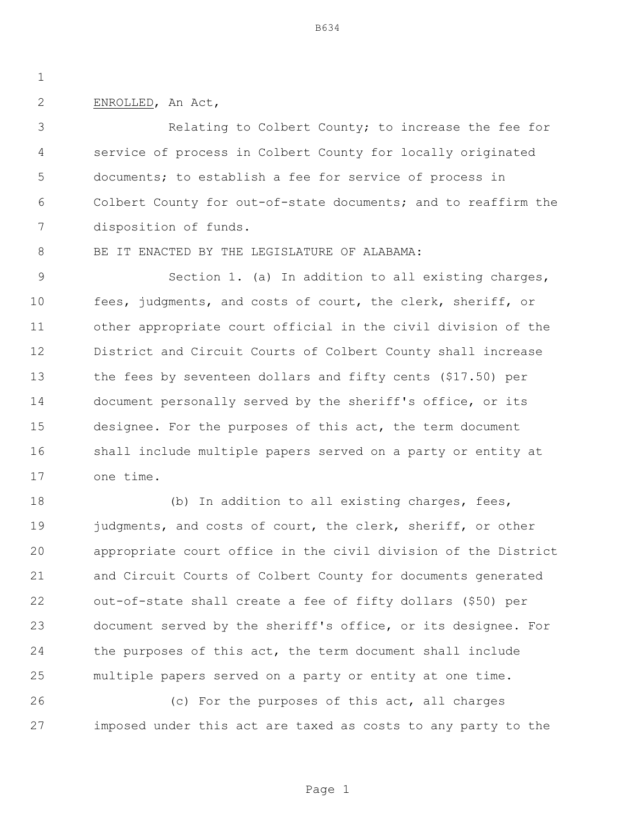## ENROLLED, An Act,

 Relating to Colbert County; to increase the fee for service of process in Colbert County for locally originated documents; to establish a fee for service of process in Colbert County for out-of-state documents; and to reaffirm the disposition of funds.

8 BE IT ENACTED BY THE LEGISLATURE OF ALABAMA:

 Section 1. (a) In addition to all existing charges, fees, judgments, and costs of court, the clerk, sheriff, or other appropriate court official in the civil division of the District and Circuit Courts of Colbert County shall increase the fees by seventeen dollars and fifty cents (\$17.50) per document personally served by the sheriff's office, or its designee. For the purposes of this act, the term document shall include multiple papers served on a party or entity at one time.

18 (b) In addition to all existing charges, fees, 19 judgments, and costs of court, the clerk, sheriff, or other appropriate court office in the civil division of the District and Circuit Courts of Colbert County for documents generated out-of-state shall create a fee of fifty dollars (\$50) per document served by the sheriff's office, or its designee. For the purposes of this act, the term document shall include multiple papers served on a party or entity at one time.

 (c) For the purposes of this act, all charges imposed under this act are taxed as costs to any party to the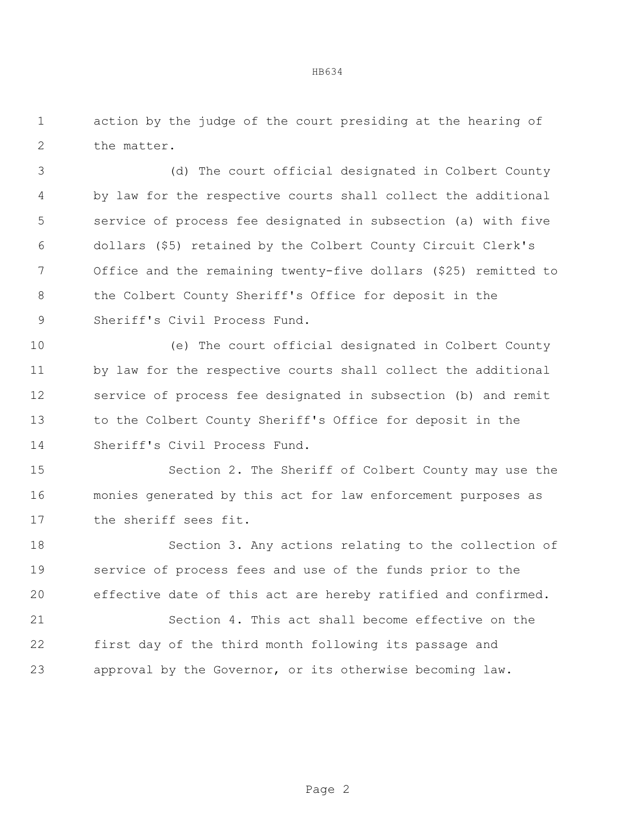action by the judge of the court presiding at the hearing of the matter.

 (d) The court official designated in Colbert County by law for the respective courts shall collect the additional service of process fee designated in subsection (a) with five dollars (\$5) retained by the Colbert County Circuit Clerk's Office and the remaining twenty-five dollars (\$25) remitted to the Colbert County Sheriff's Office for deposit in the Sheriff's Civil Process Fund.

 (e) The court official designated in Colbert County by law for the respective courts shall collect the additional service of process fee designated in subsection (b) and remit to the Colbert County Sheriff's Office for deposit in the Sheriff's Civil Process Fund.

 Section 2. The Sheriff of Colbert County may use the monies generated by this act for law enforcement purposes as the sheriff sees fit.

 Section 3. Any actions relating to the collection of service of process fees and use of the funds prior to the effective date of this act are hereby ratified and confirmed.

 Section 4. This act shall become effective on the first day of the third month following its passage and approval by the Governor, or its otherwise becoming law.

## HB634